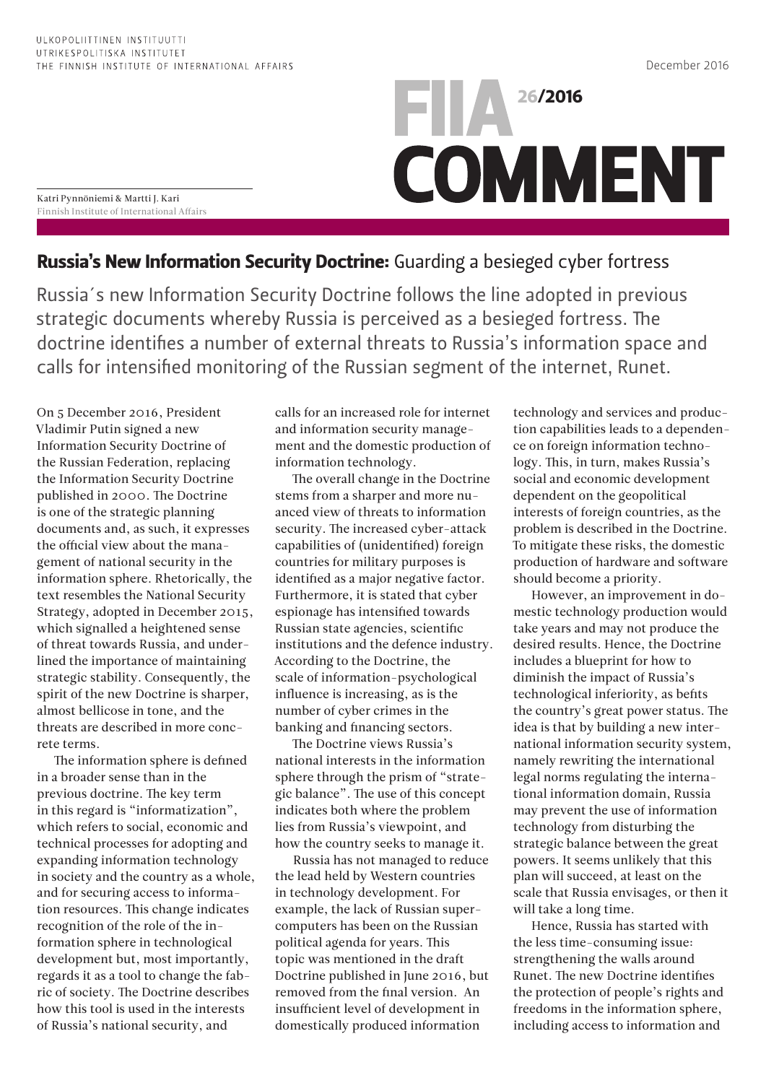Katri Pynnöniemi & Martti J. Kari Finnish Institute of International Affairs

## **FILA** 26/2016 **COMMENT**

Russia's New Information Security Doctrine: Guarding a besieged cyber fortress

Russia´s new Information Security Doctrine follows the line adopted in previous strategic documents whereby Russia is perceived as a besieged fortress. The doctrine identifies a number of external threats to Russia's information space and calls for intensified monitoring of the Russian segment of the internet, Runet.

On 5 December 2016, President Vladimir Putin signed a new Information Security Doctrine of the Russian Federation, replacing the Information Security Doctrine published in 2000. The Doctrine is one of the strategic planning documents and, as such, it expresses the official view about the management of national security in the information sphere. Rhetorically, the text resembles the National Security Strategy, adopted in December 2015, which signalled a heightened sense of threat towards Russia, and underlined the importance of maintaining strategic stability. Consequently, the spirit of the new Doctrine is sharper, almost bellicose in tone, and the threats are described in more concrete terms.

The information sphere is defined in a broader sense than in the previous doctrine. The key term in this regard is "informatization", which refers to social, economic and technical processes for adopting and expanding information technology in society and the country as a whole, and for securing access to information resources. This change indicates recognition of the role of the information sphere in technological development but, most importantly, regards it as a tool to change the fabric of society. The Doctrine describes how this tool is used in the interests of Russia's national security, and

calls for an increased role for internet and information security management and the domestic production of information technology.

The overall change in the Doctrine stems from a sharper and more nuanced view of threats to information security. The increased cyber-attack capabilities of (unidentified) foreign countries for military purposes is identified as a major negative factor. Furthermore, it is stated that cyber espionage has intensified towards Russian state agencies, scientific institutions and the defence industry. According to the Doctrine, the scale of information-psychological influence is increasing, as is the number of cyber crimes in the banking and financing sectors.

The Doctrine views Russia's national interests in the information sphere through the prism of "strategic balance". The use of this concept indicates both where the problem lies from Russia's viewpoint, and how the country seeks to manage it.

Russia has not managed to reduce the lead held by Western countries in technology development. For example, the lack of Russian supercomputers has been on the Russian political agenda for years. This topic was mentioned in the draft Doctrine published in June 2016, but removed from the final version. An insufficient level of development in domestically produced information

technology and services and production capabilities leads to a dependence on foreign information technology. This, in turn, makes Russia's social and economic development dependent on the geopolitical interests of foreign countries, as the problem is described in the Doctrine. To mitigate these risks, the domestic production of hardware and software should become a priority.

However, an improvement in domestic technology production would take years and may not produce the desired results. Hence, the Doctrine includes a blueprint for how to diminish the impact of Russia's technological inferiority, as befits the country's great power status. The idea is that by building a new international information security system, namely rewriting the international legal norms regulating the international information domain, Russia may prevent the use of information technology from disturbing the strategic balance between the great powers. It seems unlikely that this plan will succeed, at least on the scale that Russia envisages, or then it will take a long time.

Hence, Russia has started with the less time-consuming issue: strengthening the walls around Runet. The new Doctrine identifies the protection of people's rights and freedoms in the information sphere, including access to information and